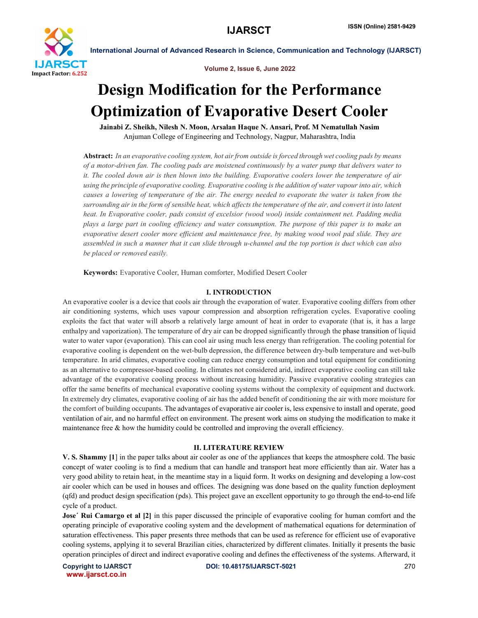

Volume 2, Issue 6, June 2022

# Design Modification for the Performance Optimization of Evaporative Desert Cooler

Jainabi Z. Sheikh, Nilesh N. Moon, Arsalan Haque N. Ansari, Prof. M Nematullah Nasim Anjuman College of Engineering and Technology, Nagpur, Maharashtra, India

Abstract: *In an evaporative cooling system, hot air from outside is forced through wet cooling pads by means of a motor-driven fan. The cooling pads are moistened continuously by a water pump that delivers water to it. The cooled down air is then blown into the building. Evaporative coolers lower the temperature of air using the principle of evaporative cooling. Evaporative cooling is the addition of water vapour into air, which causes a lowering of temperature of the air. The energy needed to evaporate the water is taken from the surrounding air in the form of sensible heat, which affects the temperature of the air, and convert it into latent heat. In Evaporative cooler, pads consist of excelsior (wood wool) inside containment net. Padding media plays a large part in cooling efficiency and water consumption. The purpose of this paper is to make an evaporative desert cooler more efficient and maintenance free, by making wood wool pad slide. They are assembled in such a manner that it can slide through u-channel and the top portion is duct which can also be placed or removed easily.*

Keywords: Evaporative Cooler, Human comforter, Modified Desert Cooler

# I. INTRODUCTION

An evaporative cooler is a device that cools air through the evaporation of water. Evaporative cooling differs from other air conditioning systems, which uses vapour compression and absorption refrigeration cycles. Evaporative cooling exploits the fact that water will absorb a relatively large amount of heat in order to evaporate (that is, it has a large enthalpy and vaporization). The temperature of dry air can be dropped significantly through the phase transition of liquid water to water vapor (evaporation). This can cool air using much less energy than refrigeration. The cooling potential for evaporative cooling is dependent on the wet-bulb depression, the difference between dry-bulb temperature and wet-bulb temperature. In arid climates, evaporative cooling can reduce energy consumption and total equipment for conditioning as an alternative to compressor-based cooling. In climates not considered arid, indirect evaporative cooling can still take advantage of the evaporative cooling process without increasing humidity. Passive evaporative cooling strategies can offer the same benefits of mechanical evaporative cooling systems without the complexity of equipment and ductwork. In extremely dry climates, evaporative cooling of air has the added benefit of conditioning the air with more moisture for the comfort of building occupants. The advantages of evaporative air cooler is, less expensive to install and operate, good ventilation of air, and no harmful effect on environment. The present work aims on studying the modification to make it maintenance free  $\&$  how the humidity could be controlled and improving the overall efficiency.

### II. LITERATURE REVIEW

V. S. Shammy [1] in the paper talks about air cooler as one of the appliances that keeps the atmosphere cold. The basic concept of water cooling is to find a medium that can handle and transport heat more efficiently than air. Water has a very good ability to retain heat, in the meantime stay in a liquid form. It works on designing and developing a low-cost air cooler which can be used in houses and offices. The designing was done based on the quality function deployment (qfd) and product design specification (pds). This project gave an excellent opportunity to go through the end-to-end life cycle of a product.

Jose´ Rui Camargo et al [2] in this paper discussed the principle of evaporative cooling for human comfort and the operating principle of evaporative cooling system and the development of mathematical equations for determination of saturation effectiveness. This paper presents three methods that can be used as reference for efficient use of evaporative cooling systems, applying it to several Brazilian cities, characterized by different climates. Initially it presents the basic operation principles of direct and indirect evaporative cooling and defines the effectiveness of the systems. Afterward, it

www.ijarsct.co.in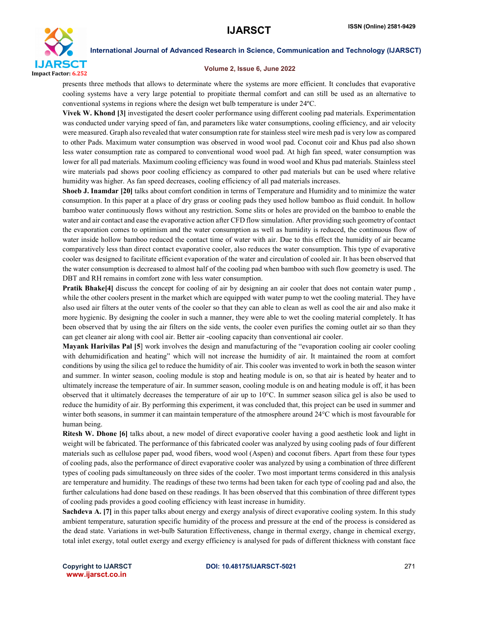

#### Volume 2, Issue 6, June 2022

presents three methods that allows to determinate where the systems are more efficient. It concludes that evaporative cooling systems have a very large potential to propitiate thermal comfort and can still be used as an alternative to conventional systems in regions where the design wet bulb temperature is under 24ºC.

Vivek W. Khond [3] investigated the desert cooler performance using different cooling pad materials. Experimentation was conducted under varying speed of fan, and parameters like water consumptions, cooling efficiency, and air velocity were measured. Graph also revealed that water consumption rate for stainless steel wire mesh pad is very low as compared to other Pads. Maximum water consumption was observed in wood wool pad. Coconut coir and Khus pad also shown less water consumption rate as compared to conventional wood wool pad. At high fan speed, water consumption was lower for all pad materials. Maximum cooling efficiency was found in wood wool and Khus pad materials. Stainless steel wire materials pad shows poor cooling efficiency as compared to other pad materials but can be used where relative humidity was higher. As fan speed decreases, cooling efficiency of all pad materials increases.

Shoeb J. Inamdar [20] talks about comfort condition in terms of Temperature and Humidity and to minimize the water consumption. In this paper at a place of dry grass or cooling pads they used hollow bamboo as fluid conduit. In hollow bamboo water continuously flows without any restriction. Some slits or holes are provided on the bamboo to enable the water and air contact and ease the evaporative action after CFD flow simulation. After providing such geometry of contact the evaporation comes to optimism and the water consumption as well as humidity is reduced, the continuous flow of water inside hollow bamboo reduced the contact time of water with air. Due to this effect the humidity of air became comparatively less than direct contact evaporative cooler, also reduces the water consumption. This type of evaporative cooler was designed to facilitate efficient evaporation of the water and circulation of cooled air. It has been observed that the water consumption is decreased to almost half of the cooling pad when bamboo with such flow geometry is used. The DBT and RH remains in comfort zone with less water consumption.

Pratik Bhake[4] discuss the concept for cooling of air by designing an air cooler that does not contain water pump , while the other coolers present in the market which are equipped with water pump to wet the cooling material. They have also used air filters at the outer vents of the cooler so that they can able to clean as well as cool the air and also make it more hygienic. By designing the cooler in such a manner, they were able to wet the cooling material completely. It has been observed that by using the air filters on the side vents, the cooler even purifies the coming outlet air so than they can get cleaner air along with cool air. Better air -cooling capacity than conventional air cooler.

Mayank Harivilas Pal [5] work involves the design and manufacturing of the "evaporation cooling air cooler cooling with dehumidification and heating" which will not increase the humidity of air. It maintained the room at comfort conditions by using the silica gel to reduce the humidity of air. This cooler was invented to work in both the season winter and summer. In winter season, cooling module is stop and heating module is on, so that air is heated by heater and to ultimately increase the temperature of air. In summer season, cooling module is on and heating module is off, it has been observed that it ultimately decreases the temperature of air up to 10°C. In summer season silica gel is also be used to reduce the humidity of air. By performing this experiment, it was concluded that, this project can be used in summer and winter both seasons, in summer it can maintain temperature of the atmosphere around 24°C which is most favourable for human being.

Ritesh W. Dhone [6] talks about, a new model of direct evaporative cooler having a good aesthetic look and light in weight will be fabricated. The performance of this fabricated cooler was analyzed by using cooling pads of four different materials such as cellulose paper pad, wood fibers, wood wool (Aspen) and coconut fibers. Apart from these four types of cooling pads, also the performance of direct evaporative cooler was analyzed by using a combination of three different types of cooling pads simultaneously on three sides of the cooler. Two most important terms considered in this analysis are temperature and humidity. The readings of these two terms had been taken for each type of cooling pad and also, the further calculations had done based on these readings. It has been observed that this combination of three different types of cooling pads provides a good cooling efficiency with least increase in humidity.

Sachdeva A. [7] in this paper talks about energy and exergy analysis of direct evaporative cooling system. In this study ambient temperature, saturation specific humidity of the process and pressure at the end of the process is considered as the dead state. Variations in wet-bulb Saturation Effectiveness, change in thermal exergy, change in chemical exergy, total inlet exergy, total outlet exergy and exergy efficiency is analysed for pads of different thickness with constant face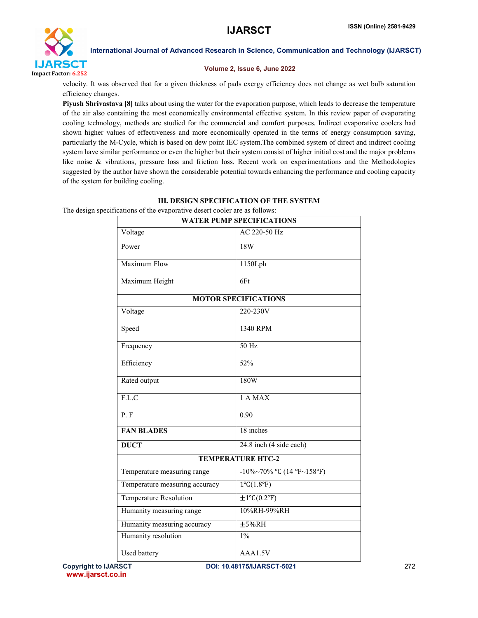

# Volume 2, Issue 6, June 2022

velocity. It was observed that for a given thickness of pads exergy efficiency does not change as wet bulb saturation efficiency changes.

Piyush Shrivastava [8] talks about using the water for the evaporation purpose, which leads to decrease the temperature of the air also containing the most economically environmental effective system. In this review paper of evaporating cooling technology, methods are studied for the commercial and comfort purposes. Indirect evaporative coolers had shown higher values of effectiveness and more economically operated in the terms of energy consumption saving, particularly the M-Cycle, which is based on dew point IEC system.The combined system of direct and indirect cooling system have similar performance or even the higher but their system consist of higher initial cost and the major problems like noise & vibrations, pressure loss and friction loss. Recent work on experimentations and the Methodologies suggested by the author have shown the considerable potential towards enhancing the performance and cooling capacity of the system for building cooling.

# III. DESIGN SPECIFICATION OF THE SYSTEM

The design specifications of the evaporative desert cooler are as follows:

| <b>WATER PUMP SPECIFICATIONS</b> |                              |  |  |  |  |  |
|----------------------------------|------------------------------|--|--|--|--|--|
| Voltage                          | AC 220-50 Hz                 |  |  |  |  |  |
| Power                            | 18W                          |  |  |  |  |  |
| <b>Maximum Flow</b>              | 1150Lph                      |  |  |  |  |  |
| Maximum Height                   | 6Ft                          |  |  |  |  |  |
| <b>MOTOR SPECIFICATIONS</b>      |                              |  |  |  |  |  |
| Voltage                          | 220-230V                     |  |  |  |  |  |
| Speed                            | 1340 RPM                     |  |  |  |  |  |
| Frequency                        | 50 Hz                        |  |  |  |  |  |
| Efficiency                       | 52%                          |  |  |  |  |  |
| Rated output                     | 180W                         |  |  |  |  |  |
| F.L.C                            | 1 A MAX                      |  |  |  |  |  |
| P.F                              | 0.90                         |  |  |  |  |  |
| <b>FAN BLADES</b>                | 18 inches                    |  |  |  |  |  |
| <b>DUCT</b>                      | 24.8 inch (4 side each)      |  |  |  |  |  |
| <b>TEMPERATURE HTC-2</b>         |                              |  |  |  |  |  |
| Temperature measuring range      | -10%~70% °C $(14 °F~158 °F)$ |  |  |  |  |  |
| Temperature measuring accuracy   | $1^{\circ}C(1.8^{\circ}F)$   |  |  |  |  |  |
| <b>Temperature Resolution</b>    | $\pm 1$ °C(0.2°F)            |  |  |  |  |  |
| Humanity measuring range         | 10%RH-99%RH                  |  |  |  |  |  |
| Humanity measuring accuracy      | ±5%RH                        |  |  |  |  |  |
| Humanity resolution              | $1\%$                        |  |  |  |  |  |
| <b>Used battery</b>              | AAA1.5V                      |  |  |  |  |  |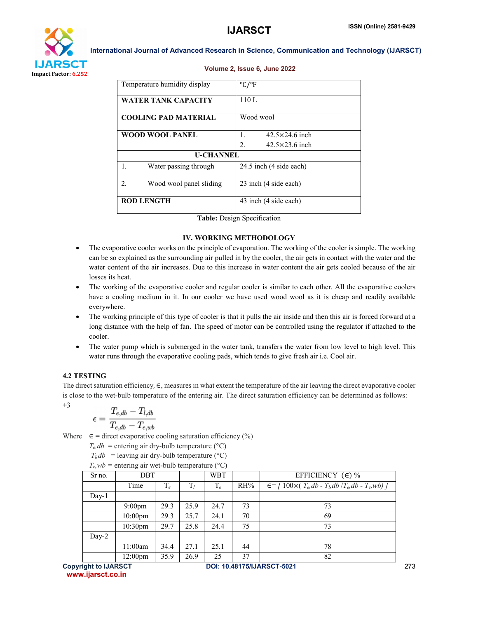

|    | Temperature humidity display | °C/°F                         |  |  |  |  |
|----|------------------------------|-------------------------------|--|--|--|--|
|    | <b>WATER TANK CAPACITY</b>   | 110L                          |  |  |  |  |
|    | <b>COOLING PAD MATERIAL</b>  | Wood wool                     |  |  |  |  |
|    | <b>WOOD WOOL PANEL</b>       | $42.5 \times 24.6$ inch<br>1. |  |  |  |  |
|    |                              | 2.<br>$42.5\times23.6$ inch   |  |  |  |  |
|    | <b>U-CHANNEL</b>             |                               |  |  |  |  |
| 1. | Water passing through        | 24.5 inch (4 side each)       |  |  |  |  |
| 2. | Wood wool panel sliding      | 23 inch (4 side each)         |  |  |  |  |
|    | <b>ROD LENGTH</b>            | 43 inch (4 side each)         |  |  |  |  |

#### Volume 2, Issue 6, June 2022

Table: Design Specification

### IV. WORKING METHODOLOGY

- The evaporative cooler works on the principle of evaporation. The working of the cooler is simple. The working can be so explained as the surrounding air pulled in by the cooler, the air gets in contact with the water and the water content of the air increases. Due to this increase in water content the air gets cooled because of the air losses its heat.
- The working of the evaporative cooler and regular cooler is similar to each other. All the evaporative coolers have a cooling medium in it. In our cooler we have used wood wool as it is cheap and readily available everywhere.
- The working principle of this type of cooler is that it pulls the air inside and then this air is forced forward at a long distance with the help of fan. The speed of motor can be controlled using the regulator if attached to the cooler.
- The water pump which is submerged in the water tank, transfers the water from low level to high level. This water runs through the evaporative cooling pads, which tends to give fresh air i.e. Cool air.

# 4.2 TESTING

The direct saturation efficiency,  $\in$ , measures in what extent the temperature of the air leaving the direct evaporative cooler is close to the wet-bulb temperature of the entering air. The direct saturation efficiency can be determined as follows:  $+3$ 

$$
\epsilon = \frac{T_{e, db} - T_{l, db}}{T_{e, db} - T_{e, wb}}
$$

Where  $\epsilon$  = direct evaporative cooling saturation efficiency (%)

 $T_e$ , *db* = entering air dry-bulb temperature (°C)

 $T_b db$  = leaving air dry-bulb temperature (°C)

 $T_e$ ,  $wb$  = entering air wet-bulb temperature ( $°C$ )

| Sr no.  | DBT                 |       |       | WBT   |     | EFFICIENCY $(\epsilon)$ %                                            |
|---------|---------------------|-------|-------|-------|-----|----------------------------------------------------------------------|
|         | Time                | $T_e$ | $T_l$ | $T_e$ | RH% | $\epsilon = \int 100 \times (T_e, db - T_b, db / T_e, db - T_e, wb)$ |
| $Day-1$ |                     |       |       |       |     |                                                                      |
|         | $9:00$ pm           | 29.3  | 25.9  | 24.7  | 73  | 73                                                                   |
|         | $10:00$ pm          | 29.3  | 25.7  | 24.1  | 70  | 69                                                                   |
|         | 10:30pm             | 29.7  | 25.8  | 24.4  | 75  | 73                                                                   |
| $Day-2$ |                     |       |       |       |     |                                                                      |
|         | 11:00am             | 34.4  | 27.1  | 25.1  | 44  | 78                                                                   |
|         | 12:00 <sub>pm</sub> | 35.9  | 26.9  | 25    | 37  | 82                                                                   |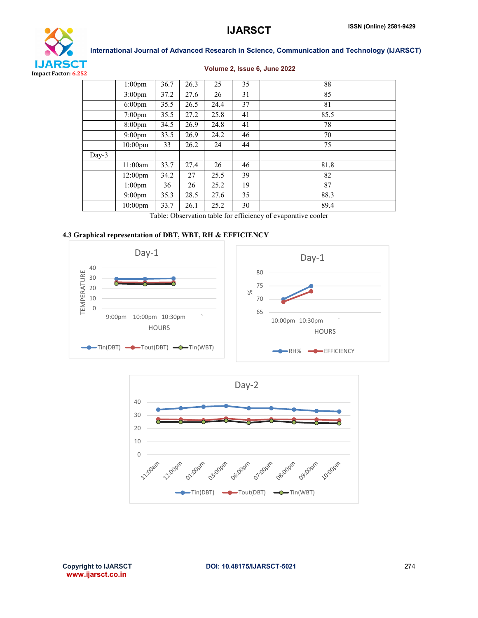

| Volume 2, Issue 6, June 2022 |  |  |  |  |  |
|------------------------------|--|--|--|--|--|
|------------------------------|--|--|--|--|--|

| --       |                     |      |      |      |    |      |
|----------|---------------------|------|------|------|----|------|
|          | $1:00 \text{pm}$    | 36.7 | 26.3 | 25   | 35 | 88   |
|          | $3:00 \text{pm}$    | 37.2 | 27.6 | 26   | 31 | 85   |
|          | $6:00 \text{pm}$    | 35.5 | 26.5 | 24.4 | 37 | 81   |
|          | 7:00pm              | 35.5 | 27.2 | 25.8 | 41 | 85.5 |
|          | $8:00 \text{pm}$    | 34.5 | 26.9 | 24.8 | 41 | 78   |
|          | $9:00 \text{pm}$    | 33.5 | 26.9 | 24.2 | 46 | 70   |
|          | $10:00$ pm          | 33   | 26.2 | 24   | 44 | 75   |
| Day- $3$ |                     |      |      |      |    |      |
|          | 11:00am             | 33.7 | 27.4 | 26   | 46 | 81.8 |
|          | 12:00 <sub>pm</sub> | 34.2 | 27   | 25.5 | 39 | 82   |
|          | $1:00$ pm           | 36   | 26   | 25.2 | 19 | 87   |
|          | $9:00 \text{pm}$    | 35.3 | 28.5 | 27.6 | 35 | 88.3 |
|          | $10:00$ pm          | 33.7 | 26.1 | 25.2 | 30 | 89.4 |

Table: Observation table for efficiency of evaporative cooler

# 4.3 Graphical representation of DBT, WBT, RH & EFFICIENCY





www.ijarsct.co.in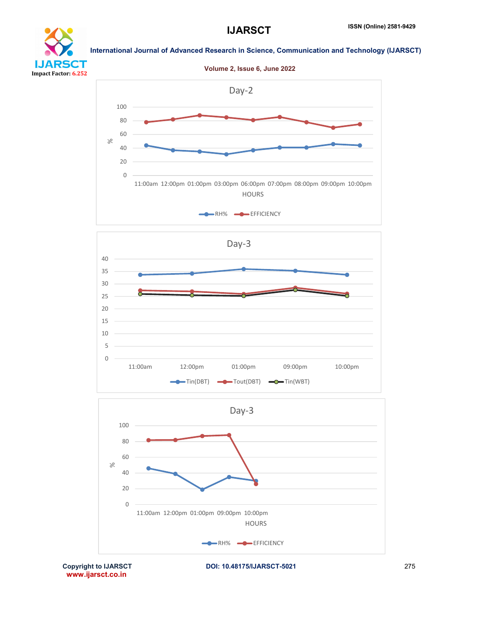









www.ijarsct.co.in